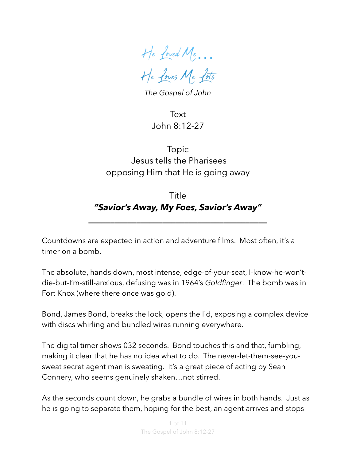He Loved Me… He Loves Me Lots

*The Gospel of John*

Text John 8:12-27

Topic Jesus tells the Pharisees opposing Him that He is going away

# Title *"Savior's Away, My Foes, Savior's Away"*

**\_\_\_\_\_\_\_\_\_\_\_\_\_\_\_\_\_\_\_\_\_\_\_\_\_\_\_\_\_\_\_\_\_\_\_\_\_\_\_\_\_**

Countdowns are expected in action and adventure films. Most often, it's a timer on a bomb.

The absolute, hands down, most intense, edge-of-your-seat, I-know-he-won'tdie-but-I'm-still-anxious, defusing was in 1964's *Goldfinger*. The bomb was in Fort Knox (where there once was gold).

Bond, James Bond, breaks the lock, opens the lid, exposing a complex device with discs whirling and bundled wires running everywhere.

The digital timer shows 032 seconds. Bond touches this and that, fumbling, making it clear that he has no idea what to do. The never-let-them-see-yousweat secret agent man is sweating. It's a great piece of acting by Sean Connery, who seems genuinely shaken…not stirred.

As the seconds count down, he grabs a bundle of wires in both hands. Just as he is going to separate them, hoping for the best, an agent arrives and stops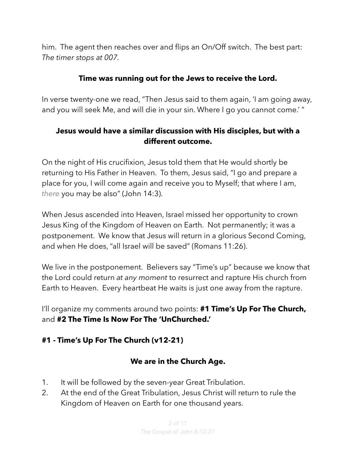him. The agent then reaches over and flips an On/Off switch. The best part: *The timer stops at 007.* 

#### **Time was running out for the Jews to receive the Lord.**

In verse twenty-one we read, "Then Jesus said to them again, 'I am going away, and you will seek Me, and will die in your sin. Where I go you cannot come.' "

### **Jesus would have a similar discussion with His disciples, but with a different outcome.**

On the night of His crucifixion, Jesus told them that He would shortly be returning to His Father in Heaven. To them, Jesus said, "I go and prepare a place for you, I will come again and receive you to Myself; that where I am, *there* you may be also" (John 14:3).

When Jesus ascended into Heaven, Israel missed her opportunity to crown Jesus King of the Kingdom of Heaven on Earth. Not permanently; it was a postponement. We know that Jesus will return in a glorious Second Coming, and when He does, "all Israel will be saved" (Romans 11:26).

We live in the postponement. Believers say "Time's up" because we know that the Lord could return *at any moment* to resurrect and rapture His church from Earth to Heaven. Every heartbeat He waits is just one away from the rapture.

I'll organize my comments around two points: **#1 Time's Up For The Church,** and **#2 The Time Is Now For The 'UnChurched.'** 

## **#1 - Time's Up For The Church (v12-21)**

#### **We are in the Church Age.**

- 1. It will be followed by the seven-year Great Tribulation.
- 2. At the end of the Great Tribulation, Jesus Christ will return to rule the Kingdom of Heaven on Earth for one thousand years.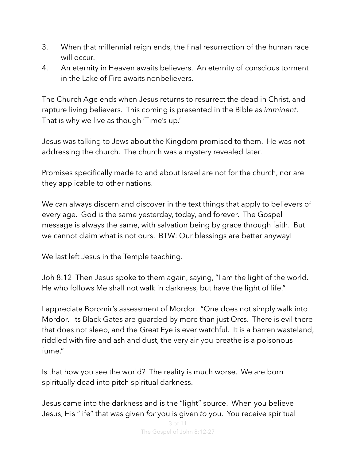- 3. When that millennial reign ends, the final resurrection of the human race will occur.
- 4. An eternity in Heaven awaits believers. An eternity of conscious torment in the Lake of Fire awaits nonbelievers.

The Church Age ends when Jesus returns to resurrect the dead in Christ, and rapture living believers. This coming is presented in the Bible as *imminent*. That is why we live as though 'Time's up.'

Jesus was talking to Jews about the Kingdom promised to them. He was not addressing the church. The church was a mystery revealed later.

Promises specifically made to and about Israel are not for the church, nor are they applicable to other nations.

We can always discern and discover in the text things that apply to believers of every age. God is the same yesterday, today, and forever. The Gospel message is always the same, with salvation being by grace through faith. But we cannot claim what is not ours. BTW: Our blessings are better anyway!

We last left Jesus in the Temple teaching.

Joh 8:12 Then Jesus spoke to them again, saying, "I am the light of the world. He who follows Me shall not walk in darkness, but have the light of life."

I appreciate Boromir's assessment of Mordor. "One does not simply walk into Mordor. Its Black Gates are guarded by more than just Orcs. There is evil there that does not sleep, and the Great Eye is ever watchful. It is a barren wasteland, riddled with fire and ash and dust, the very air you breathe is a poisonous fume."

Is that how you see the world? The reality is much worse. We are born spiritually dead into pitch spiritual darkness.

Jesus came into the darkness and is the "light" source. When you believe Jesus, His "life" that was given *for* you is given *to* you. You receive spiritual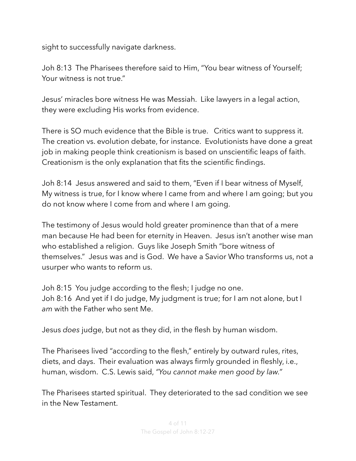sight to successfully navigate darkness.

Joh 8:13 The Pharisees therefore said to Him, "You bear witness of Yourself; Your witness is not true."

Jesus' miracles bore witness He was Messiah. Like lawyers in a legal action, they were excluding His works from evidence.

There is SO much evidence that the Bible is true. Critics want to suppress it. The creation vs. evolution debate, for instance. Evolutionists have done a great job in making people think creationism is based on unscientific leaps of faith. Creationism is the only explanation that fits the scientific findings.

Joh 8:14 Jesus answered and said to them, "Even if I bear witness of Myself, My witness is true, for I know where I came from and where I am going; but you do not know where I come from and where I am going.

The testimony of Jesus would hold greater prominence than that of a mere man because He had been for eternity in Heaven. Jesus isn't another wise man who established a religion. Guys like Joseph Smith "bore witness of themselves." Jesus was and is God. We have a Savior Who transforms us, not a usurper who wants to reform us.

Joh 8:15 You judge according to the flesh; I judge no one. Joh 8:16 And yet if I do judge, My judgment is true; for I am not alone, but I *am* with the Father who sent Me.

Jesus *does* judge, but not as they did, in the flesh by human wisdom.

The Pharisees lived "according to the flesh," entirely by outward rules, rites, diets, and days. Their evaluation was always firmly grounded in fleshly, i.e., human, wisdom. C.S. Lewis said, *"You cannot make men good by law."*

The Pharisees started spiritual. They deteriorated to the sad condition we see in the New Testament.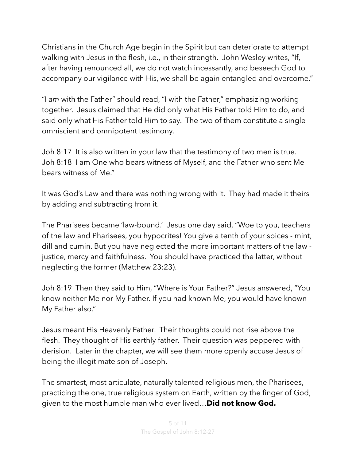Christians in the Church Age begin in the Spirit but can deteriorate to attempt walking with Jesus in the flesh, i.e., in their strength. John Wesley writes, "If, after having renounced all, we do not watch incessantly, and beseech God to accompany our vigilance with His, we shall be again entangled and overcome."

"I *am* with the Father" should read, "I with the Father," emphasizing working together. Jesus claimed that He did only what His Father told Him to do, and said only what His Father told Him to say. The two of them constitute a single omniscient and omnipotent testimony.

Joh 8:17 It is also written in your law that the testimony of two men is true. Joh 8:18 I am One who bears witness of Myself, and the Father who sent Me bears witness of Me."

It was God's Law and there was nothing wrong with it. They had made it theirs by adding and subtracting from it.

The Pharisees became 'law-bound.' Jesus one day said, "Woe to you, teachers of the law and Pharisees, you hypocrites! You give a tenth of your spices - mint, dill and cumin. But you have neglected the more important matters of the law justice, mercy and faithfulness. You should have practiced the latter, without neglecting the former (Matthew 23:23).

Joh 8:19 Then they said to Him, "Where is Your Father?" Jesus answered, "You know neither Me nor My Father. If you had known Me, you would have known My Father also."

Jesus meant His Heavenly Father. Their thoughts could not rise above the flesh. They thought of His earthly father. Their question was peppered with derision. Later in the chapter, we will see them more openly accuse Jesus of being the illegitimate son of Joseph.

The smartest, most articulate, naturally talented religious men, the Pharisees, practicing the one, true religious system on Earth, written by the finger of God, given to the most humble man who ever lived…**Did not know God.**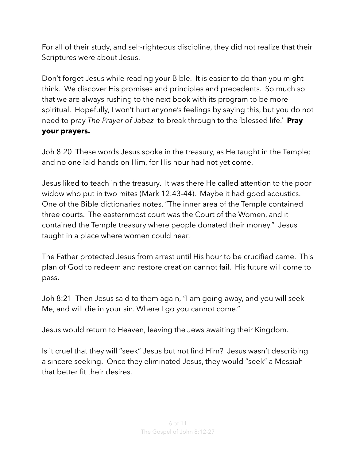For all of their study, and self-righteous discipline, they did not realize that their Scriptures were about Jesus.

Don't forget Jesus while reading your Bible. It is easier to do than you might think. We discover His promises and principles and precedents. So much so that we are always rushing to the next book with its program to be more spiritual. Hopefully, I won't hurt anyone's feelings by saying this, but you do not need to pray *The Prayer of Jabez* to break through to the 'blessed life.' **Pray your prayers.**

Joh 8:20 These words Jesus spoke in the treasury, as He taught in the Temple; and no one laid hands on Him, for His hour had not yet come.

Jesus liked to teach in the treasury. It was there He called attention to the poor widow who put in two mites (Mark 12:43-44). Maybe it had good acoustics. One of the Bible dictionaries notes, "The inner area of the Temple contained three courts. The easternmost court was the Court of the Women, and it contained the Temple treasury where people donated their money." Jesus taught in a place where women could hear.

The Father protected Jesus from arrest until His hour to be crucified came. This plan of God to redeem and restore creation cannot fail. His future will come to pass.

Joh 8:21 Then Jesus said to them again, "I am going away, and you will seek Me, and will die in your sin. Where I go you cannot come."

Jesus would return to Heaven, leaving the Jews awaiting their Kingdom.

Is it cruel that they will "seek" Jesus but not find Him? Jesus wasn't describing a sincere seeking. Once they eliminated Jesus, they would "seek" a Messiah that better fit their desires.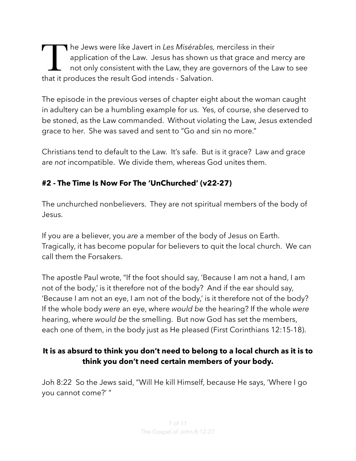The Jews were like Javert in *Les Misérables,* merciless in their<br>application of the Law. Jesus has shown us that grace and m<br>not only consistent with the Law, they are governors of the La<br>that it produces the result God i application of the Law. Jesus has shown us that grace and mercy are not only consistent with the Law, they are governors of the Law to see that it produces the result God intends - Salvation.

The episode in the previous verses of chapter eight about the woman caught in adultery can be a humbling example for us. Yes, of course, she deserved to be stoned, as the Law commanded. Without violating the Law, Jesus extended grace to her. She was saved and sent to "Go and sin no more."

Christians tend to default to the Law. It's safe. But is it grace? Law and grace are *not* incompatible. We divide them, whereas God unites them.

## **#2 - The Time Is Now For The 'UnChurched' (v22-27)**

The unchurched nonbelievers. They are not spiritual members of the body of Jesus.

If you are a believer, you *are* a member of the body of Jesus on Earth. Tragically, it has become popular for believers to quit the local church. We can call them the Forsakers.

The apostle Paul wrote, "If the foot should say, 'Because I am not a hand, I am not of the body,' is it therefore not of the body? And if the ear should say, 'Because I am not an eye, I am not of the body,' is it therefore not of the body? If the whole body *were* an eye, where *would be* the hearing? If the whole *were* hearing, where *would be* the smelling. But now God has set the members, each one of them, in the body just as He pleased (First Corinthians 12:15-18).

## **It is as absurd to think you don't need to belong to a local church as it is to think you don't need certain members of your body.**

Joh 8:22 So the Jews said, "Will He kill Himself, because He says, 'Where I go you cannot come?' "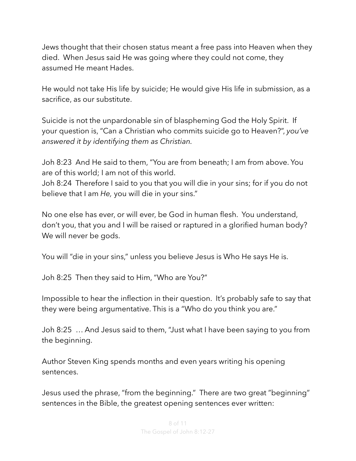Jews thought that their chosen status meant a free pass into Heaven when they died. When Jesus said He was going where they could not come, they assumed He meant Hades.

He would not take His life by suicide; He would give His life in submission, as a sacrifice, as our substitute.

Suicide is not the unpardonable sin of blaspheming God the Holy Spirit. If your question is, "Can a Christian who commits suicide go to Heaven?", *you've answered it by identifying them as Christian.* 

Joh 8:23 And He said to them, "You are from beneath; I am from above. You are of this world; I am not of this world.

Joh 8:24 Therefore I said to you that you will die in your sins; for if you do not believe that I am *He,* you will die in your sins."

No one else has ever, or will ever, be God in human flesh. You understand, don't you, that you and I will be raised or raptured in a glorified human body? We will never be gods.

You will "die in your sins," unless you believe Jesus is Who He says He is.

Joh 8:25 Then they said to Him, "Who are You?"

Impossible to hear the inflection in their question. It's probably safe to say that they were being argumentative. This is a "Who do you think you are."

Joh 8:25 … And Jesus said to them, "Just what I have been saying to you from the beginning.

Author Steven King spends months and even years writing his opening sentences.

Jesus used the phrase, "from the beginning." There are two great "beginning" sentences in the Bible, the greatest opening sentences ever written: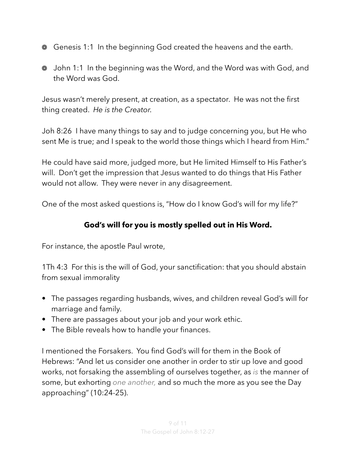- **EXACTE A** Genesis 1:1 In the beginning God created the heavens and the earth.
- John 1:1 In the beginning was the Word, and the Word was with God, and the Word was God.

Jesus wasn't merely present, at creation, as a spectator. He was not the first thing created. *He is the Creator.* 

Joh 8:26 I have many things to say and to judge concerning you, but He who sent Me is true; and I speak to the world those things which I heard from Him."

He could have said more, judged more, but He limited Himself to His Father's will. Don't get the impression that Jesus wanted to do things that His Father would not allow. They were never in any disagreement.

One of the most asked questions is, "How do I know God's will for my life?"

### **God's will for you is mostly spelled out in His Word.**

For instance, the apostle Paul wrote,

[1Th 4:3](verseid:52.4.3) For this is the will of God, your sanctification: that you should abstain from sexual immorality

- The passages regarding husbands, wives, and children reveal God's will for marriage and family.
- There are passages about your job and your work ethic.
- The Bible reveals how to handle your finances.

I mentioned the Forsakers. You find God's will for them in the Book of Hebrews: "And let us consider one another in order to stir up love and good works, not forsaking the assembling of ourselves together, as *is* the manner of some, but exhorting *one another,* and so much the more as you see the Day approaching" (10:24-25).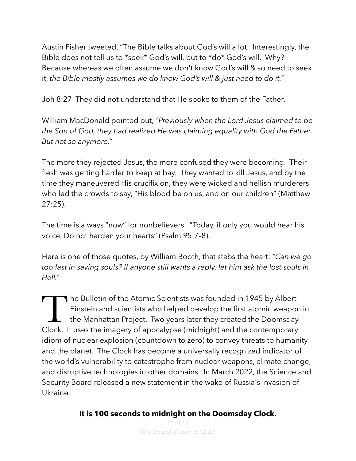Austin Fisher tweeted, "The Bible talks about God's will a lot. Interestingly, the Bible does not tell us to \*seek\* God's will, but to \*do\* God's will. Why? Because whereas we often assume we don't know God's will & so need to seek it, *the Bible mostly assumes we do know God's will & just need to do it."*

Joh 8:27 They did not understand that He spoke to them of the Father.

William MacDonald pointed out, *"Previously when the Lord Jesus claimed to be the Son of God, they had realized He was claiming equality with God the Father. But not so anymore."*

The more they rejected Jesus, the more confused they were becoming. Their flesh was getting harder to keep at bay. They wanted to kill Jesus, and by the time they maneuvered His crucifixion, they were wicked and hellish murderers who led the crowds to say, "His blood be on us, and on our children" (Matthew 27:25).

The time is always "now" for nonbelievers. "Today, if only you would hear his voice, Do not harden your hearts" (Psalm 95:7–8).

Here is one of those quotes, by William Booth, that stabs the heart: *"Can we go too fast in saving souls? If anyone still wants a reply, let him ask the lost souls in Hell."*

The Bulletin of the Atomic Scientists was founded in 1945 by Albert<br>Einstein and scientists who helped develop the first atomic weaport<br>the Manhattan Project. Two years later they created the Doomsday<br>Clock It uses the ima Einstein and scientists who helped develop the first atomic weapon in the Manhattan Project. Two years later they created the Doomsday Clock. It uses the imagery of apocalypse (midnight) and the contemporary idiom of nuclear explosion (countdown to zero) to convey threats to humanity and the planet. The Clock has become a universally recognized indicator of the world's vulnerability to catastrophe from nuclear weapons, climate change, and disruptive technologies in other domains. In March 2022, the Science and Security Board released a new statement in the wake of Russia's invasion of Ukraine.

**It is 100 seconds to midnight on the Doomsday Clock.**

10 of 11 The Gospel of John 8:12-27